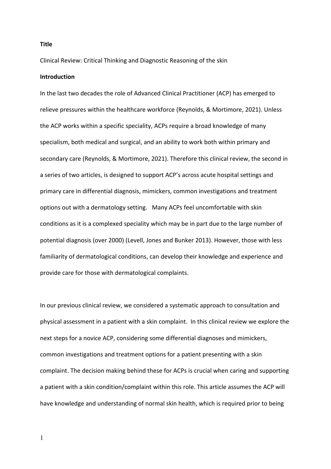**Title**

Clinical Review: Critical Thinking and Diagnostic Reasoning of the skin

#### **Introduction**

In the last two decades the role of Advanced Clinical Practitioner (ACP) has emerged to relieve pressures within the healthcare workforce (Reynolds, & Mortimore, 2021). Unless the ACP works within a specific speciality, ACPs require a broad knowledge of many specialism, both medical and surgical, and an ability to work both within primary and secondary care (Reynolds, & Mortimore, 2021). Therefore this clinical review, the second in a series of two articles, is designed to support ACP's across acute hospital settings and primary care in differential diagnosis, mimickers, common investigations and treatment options out with a dermatology setting. Many ACPs feel uncomfortable with skin conditions as it is a complexed speciality which may be in part due to the large number of potential diagnosis (over 2000) (Levell, Jones and Bunker 2013). However, those with less familiarity of dermatological conditions, can develop their knowledge and experience and provide care for those with dermatological complaints.

In our previous clinical review, we considered a systematic approach to consultation and physical assessment in a patient with a skin complaint. In this clinical review we explore the next steps for a novice ACP, considering some differential diagnoses and mimickers, common investigations and treatment options for a patient presenting with a skin complaint. The decision making behind these for ACPs is crucial when caring and supporting a patient with a skin condition/complaint within this role. This article assumes the ACP will have knowledge and understanding of normal skin health, which is required prior to being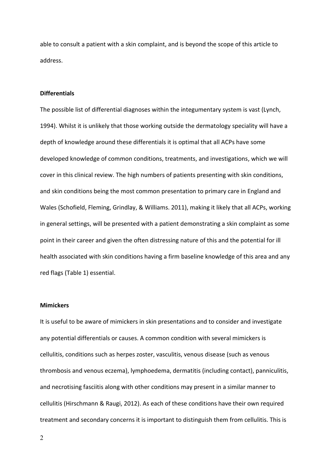able to consult a patient with a skin complaint, and is beyond the scope of this article to address.

#### **Differentials**

The possible list of differential diagnoses within the integumentary system is vast (Lynch, 1994). Whilst it is unlikely that those working outside the dermatology speciality will have a depth of knowledge around these differentials it is optimal that all ACPs have some developed knowledge of common conditions, treatments, and investigations, which we will cover in this clinical review. The high numbers of patients presenting with skin conditions, and skin conditions being the most common presentation to primary care in England and Wales (Schofield, Fleming, Grindlay, & Williams. 2011), making it likely that all ACPs, working in general settings, will be presented with a patient demonstrating a skin complaint as some point in their career and given the often distressing nature of this and the potential for ill health associated with skin conditions having a firm baseline knowledge of this area and any red flags (Table 1) essential.

### **Mimickers**

It is useful to be aware of mimickers in skin presentations and to consider and investigate any potential differentials or causes. A common condition with several mimickers is cellulitis, conditions such as herpes zoster, vasculitis, venous disease (such as venous thrombosis and venous eczema), lymphoedema, dermatitis (including contact), panniculitis, and necrotising fasciitis along with other conditions may present in a similar manner to cellulitis (Hirschmann & Raugi, 2012). As each of these conditions have their own required treatment and secondary concerns it is important to distinguish them from cellulitis. This is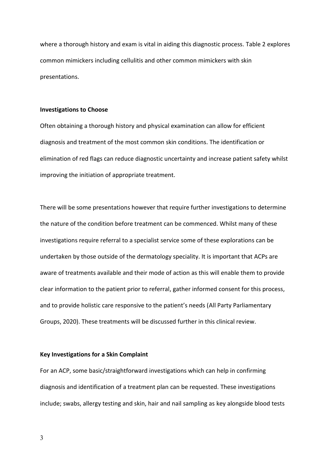where a thorough history and exam is vital in aiding this diagnostic process. Table 2 explores common mimickers including cellulitis and other common mimickers with skin presentations.

#### **Investigations to Choose**

Often obtaining a thorough history and physical examination can allow for efficient diagnosis and treatment of the most common skin conditions. The identification or elimination of red flags can reduce diagnostic uncertainty and increase patient safety whilst improving the initiation of appropriate treatment.

There will be some presentations however that require further investigations to determine the nature of the condition before treatment can be commenced. Whilst many of these investigations require referral to a specialist service some of these explorations can be undertaken by those outside of the dermatology speciality. It is important that ACPs are aware of treatments available and their mode of action as this will enable them to provide clear information to the patient prior to referral, gather informed consent for this process, and to provide holistic care responsive to the patient's needs (All Party Parliamentary Groups, 2020). These treatments will be discussed further in this clinical review.

#### **Key Investigations for a Skin Complaint**

For an ACP, some basic/straightforward investigations which can help in confirming diagnosis and identification of a treatment plan can be requested. These investigations include; swabs, allergy testing and skin, hair and nail sampling as key alongside blood tests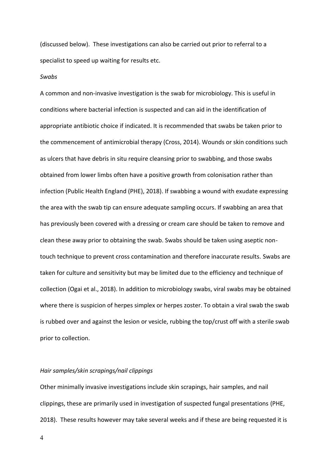(discussed below). These investigations can also be carried out prior to referral to a specialist to speed up waiting for results etc.

#### *Swabs*

A common and non-invasive investigation is the swab for microbiology. This is useful in conditions where bacterial infection is suspected and can aid in the identification of appropriate antibiotic choice if indicated. It is recommended that swabs be taken prior to the commencement of antimicrobial therapy (Cross, 2014). Wounds or skin conditions such as ulcers that have debris in situ require cleansing prior to swabbing, and those swabs obtained from lower limbs often have a positive growth from colonisation rather than infection (Public Health England (PHE), 2018). If swabbing a wound with exudate expressing the area with the swab tip can ensure adequate sampling occurs. If swabbing an area that has previously been covered with a dressing or cream care should be taken to remove and clean these away prior to obtaining the swab. Swabs should be taken using aseptic nontouch technique to prevent cross contamination and therefore inaccurate results. Swabs are taken for culture and sensitivity but may be limited due to the efficiency and technique of collection (Ogai et al., 2018). In addition to microbiology swabs, viral swabs may be obtained where there is suspicion of herpes simplex or herpes zoster. To obtain a viral swab the swab is rubbed over and against the lesion or vesicle, rubbing the top/crust off with a sterile swab prior to collection.

#### *Hair samples/skin scrapings/nail clippings*

Other minimally invasive investigations include skin scrapings, hair samples, and nail clippings, these are primarily used in investigation of suspected fungal presentations (PHE, 2018). These results however may take several weeks and if these are being requested it is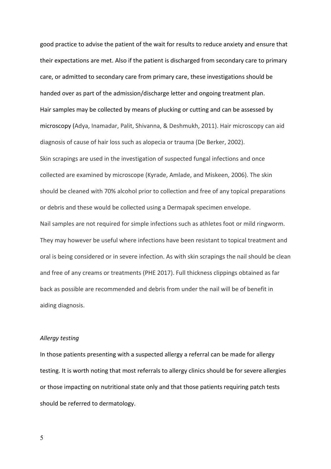good practice to advise the patient of the wait for results to reduce anxiety and ensure that their expectations are met. Also if the patient is discharged from secondary care to primary care, or admitted to secondary care from primary care, these investigations should be handed over as part of the admission/discharge letter and ongoing treatment plan. Hair samples may be collected by means of plucking or cutting and can be assessed by microscopy (Adya, Inamadar, Palit, Shivanna, & Deshmukh, 2011). Hair microscopy can aid diagnosis of cause of hair loss such as alopecia or trauma (De Berker, 2002). Skin scrapings are used in the investigation of suspected fungal infections and once collected are examined by microscope (Kyrade, Amlade, and Miskeen, 2006). The skin should be cleaned with 70% alcohol prior to collection and free of any topical preparations or debris and these would be collected using a Dermapak specimen envelope. Nail samples are not required for simple infections such as athletes foot or mild ringworm. They may however be useful where infections have been resistant to topical treatment and oral is being considered or in severe infection. As with skin scrapings the nail should be clean and free of any creams or treatments (PHE 2017). Full thickness clippings obtained as far back as possible are recommended and debris from under the nail will be of benefit in aiding diagnosis.

#### *Allergy testing*

In those patients presenting with a suspected allergy a referral can be made for allergy testing. It is worth noting that most referrals to allergy clinics should be for severe allergies or those impacting on nutritional state only and that those patients requiring patch tests should be referred to dermatology.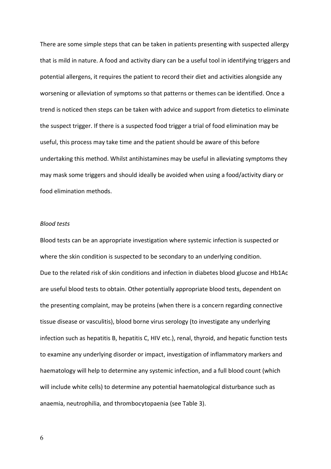There are some simple steps that can be taken in patients presenting with suspected allergy that is mild in nature. A food and activity diary can be a useful tool in identifying triggers and potential allergens, it requires the patient to record their diet and activities alongside any worsening or alleviation of symptoms so that patterns or themes can be identified. Once a trend is noticed then steps can be taken with advice and support from dietetics to eliminate the suspect trigger. If there is a suspected food trigger a trial of food elimination may be useful, this process may take time and the patient should be aware of this before undertaking this method. Whilst antihistamines may be useful in alleviating symptoms they may mask some triggers and should ideally be avoided when using a food/activity diary or food elimination methods.

### *Blood tests*

Blood tests can be an appropriate investigation where systemic infection is suspected or where the skin condition is suspected to be secondary to an underlying condition. Due to the related risk of skin conditions and infection in diabetes blood glucose and Hb1Ac are useful blood tests to obtain. Other potentially appropriate blood tests, dependent on the presenting complaint, may be proteins (when there is a concern regarding connective tissue disease or vasculitis), blood borne virus serology (to investigate any underlying infection such as hepatitis B, hepatitis C, HIV etc.), renal, thyroid, and hepatic function tests to examine any underlying disorder or impact, investigation of inflammatory markers and haematology will help to determine any systemic infection, and a full blood count (which will include white cells) to determine any potential haematological disturbance such as anaemia, neutrophilia, and thrombocytopaenia (see Table 3).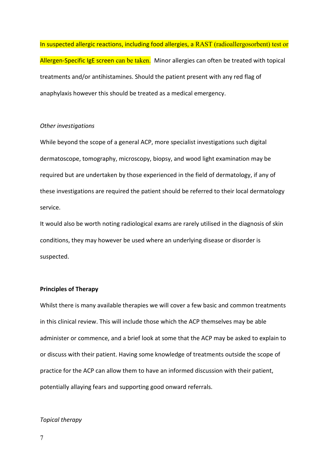In suspected allergic reactions, including food allergies, a RAST (radioallergosorbent) test or Allergen-Specific IgE screen can be taken. Minor allergies can often be treated with topical treatments and/or antihistamines. Should the patient present with any red flag of anaphylaxis however this should be treated as a medical emergency.

## *Other investigations*

While beyond the scope of a general ACP, more specialist investigations such digital dermatoscope, tomography, microscopy, biopsy, and wood light examination may be required but are undertaken by those experienced in the field of dermatology, if any of these investigations are required the patient should be referred to their local dermatology service.

It would also be worth noting radiological exams are rarely utilised in the diagnosis of skin conditions, they may however be used where an underlying disease or disorder is suspected.

## **Principles of Therapy**

Whilst there is many available therapies we will cover a few basic and common treatments in this clinical review. This will include those which the ACP themselves may be able administer or commence, and a brief look at some that the ACP may be asked to explain to or discuss with their patient. Having some knowledge of treatments outside the scope of practice for the ACP can allow them to have an informed discussion with their patient, potentially allaying fears and supporting good onward referrals.

## *Topical therapy*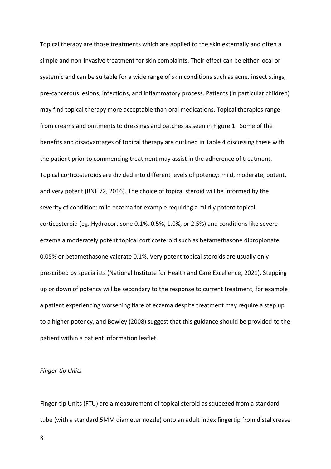Topical therapy are those treatments which are applied to the skin externally and often a simple and non-invasive treatment for skin complaints. Their effect can be either local or systemic and can be suitable for a wide range of skin conditions such as acne, insect stings, pre-cancerous lesions, infections, and inflammatory process. Patients (in particular children) may find topical therapy more acceptable than oral medications. Topical therapies range from creams and ointments to dressings and patches as seen in Figure 1. Some of the benefits and disadvantages of topical therapy are outlined in Table 4 discussing these with the patient prior to commencing treatment may assist in the adherence of treatment. Topical corticosteroids are divided into different levels of potency: mild, moderate, potent, and very potent (BNF 72, 2016). The choice of topical steroid will be informed by the severity of condition: mild eczema for example requiring a mildly potent topical corticosteroid (eg. Hydrocortisone 0.1%, 0.5%, 1.0%, or 2.5%) and conditions like severe eczema a moderately potent topical corticosteroid such as betamethasone dipropionate 0.05% or betamethasone valerate 0.1%. Very potent topical steroids are usually only prescribed by specialists (National Institute for Health and Care Excellence, 2021). Stepping up or down of potency will be secondary to the response to current treatment, for example a patient experiencing worsening flare of eczema despite treatment may require a step up to a higher potency, and Bewley (2008) suggest that this guidance should be provided to the patient within a patient information leaflet.

## *Finger-tip Units*

Finger-tip Units (FTU) are a measurement of topical steroid as squeezed from a standard tube (with a standard 5MM diameter nozzle) onto an adult index fingertip from distal crease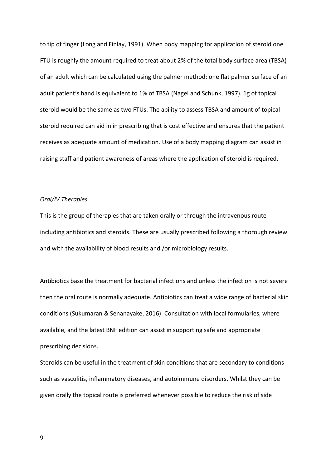to tip of finger (Long and Finlay, 1991). When body mapping for application of steroid one FTU is roughly the amount required to treat about 2% of the total body surface area (TBSA) of an adult which can be calculated using the palmer method: one flat palmer surface of an adult patient's hand is equivalent to 1% of TBSA (Nagel and Schunk, 1997). 1g of topical steroid would be the same as two FTUs. The ability to assess TBSA and amount of topical steroid required can aid in in prescribing that is cost effective and ensures that the patient receives as adequate amount of medication. Use of a body mapping diagram can assist in raising staff and patient awareness of areas where the application of steroid is required.

### *Oral/IV Therapies*

This is the group of therapies that are taken orally or through the intravenous route including antibiotics and steroids. These are usually prescribed following a thorough review and with the availability of blood results and /or microbiology results.

Antibiotics base the treatment for bacterial infections and unless the infection is not severe then the oral route is normally adequate. Antibiotics can treat a wide range of bacterial skin conditions (Sukumaran & Senanayake, 2016). Consultation with local formularies, where available, and the latest BNF edition can assist in supporting safe and appropriate prescribing decisions.

Steroids can be useful in the treatment of skin conditions that are secondary to conditions such as vasculitis, inflammatory diseases, and autoimmune disorders. Whilst they can be given orally the topical route is preferred whenever possible to reduce the risk of side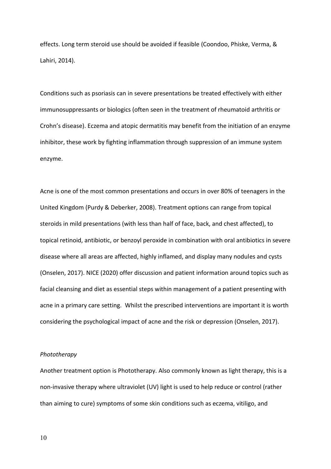effects. Long term steroid use should be avoided if feasible (Coondoo, Phiske, Verma, & Lahiri, 2014).

Conditions such as psoriasis can in severe presentations be treated effectively with either immunosuppressants or biologics (often seen in the treatment of rheumatoid arthritis or Crohn's disease). Eczema and atopic dermatitis may benefit from the initiation of an enzyme inhibitor, these work by fighting inflammation through suppression of an immune system enzyme.

Acne is one of the most common presentations and occurs in over 80% of teenagers in the United Kingdom (Purdy & Deberker, 2008). Treatment options can range from topical steroids in mild presentations (with less than half of face, back, and chest affected), to topical retinoid, antibiotic, or benzoyl peroxide in combination with oral antibiotics in severe disease where all areas are affected, highly inflamed, and display many nodules and cysts (Onselen, 2017). NICE (2020) offer discussion and patient information around topics such as facial cleansing and diet as essential steps within management of a patient presenting with acne in a primary care setting. Whilst the prescribed interventions are important it is worth considering the psychological impact of acne and the risk or depression (Onselen, 2017).

#### *Phototherapy*

Another treatment option is Phototherapy. Also commonly known as light therapy, this is a non-invasive therapy where ultraviolet (UV) light is used to help reduce or control (rather than aiming to cure) symptoms of some skin conditions such as eczema, vitiligo, and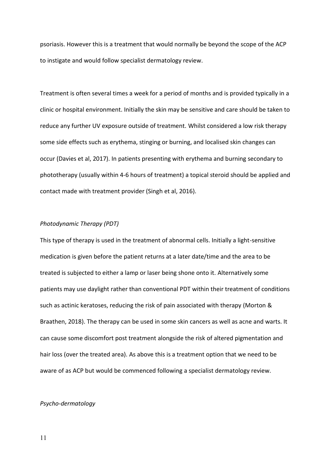psoriasis. However this is a treatment that would normally be beyond the scope of the ACP to instigate and would follow specialist dermatology review.

Treatment is often several times a week for a period of months and is provided typically in a clinic or hospital environment. Initially the skin may be sensitive and care should be taken to reduce any further UV exposure outside of treatment. Whilst considered a low risk therapy some side effects such as erythema, stinging or burning, and localised skin changes can occur (Davies et al, 2017). In patients presenting with erythema and burning secondary to phototherapy (usually within 4-6 hours of treatment) a topical steroid should be applied and contact made with treatment provider (Singh et al, 2016).

## *Photodynamic Therapy (PDT)*

This type of therapy is used in the treatment of abnormal cells. Initially a light-sensitive medication is given before the patient returns at a later date/time and the area to be treated is subjected to either a lamp or laser being shone onto it. Alternatively some patients may use daylight rather than conventional PDT within their treatment of conditions such as actinic keratoses, reducing the risk of pain associated with therapy (Morton & Braathen, 2018). The therapy can be used in some skin cancers as well as acne and warts. It can cause some discomfort post treatment alongside the risk of altered pigmentation and hair loss (over the treated area). As above this is a treatment option that we need to be aware of as ACP but would be commenced following a specialist dermatology review.

#### *Psycho-dermatology*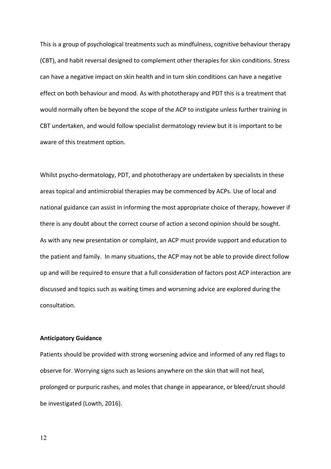This is a group of psychological treatments such as mindfulness, cognitive behaviour therapy (CBT), and habit reversal designed to complement other therapies for skin conditions. Stress can have a negative impact on skin health and in turn skin conditions can have a negative effect on both behaviour and mood. As with phototherapy and PDT this is a treatment that would normally often be beyond the scope of the ACP to instigate unless further training in CBT undertaken, and would follow specialist dermatology review but it is important to be aware of this treatment option.

Whilst psycho-dermatology, PDT, and phototherapy are undertaken by specialists in these areas topical and antimicrobial therapies may be commenced by ACPs. Use of local and national guidance can assist in informing the most appropriate choice of therapy, however if there is any doubt about the correct course of action a second opinion should be sought. As with any new presentation or complaint, an ACP must provide support and education to the patient and family. In many situations, the ACP may not be able to provide direct follow up and will be required to ensure that a full consideration of factors post ACP interaction are discussed and topics such as waiting times and worsening advice are explored during the consultation.

## **Anticipatory Guidance**

Patients should be provided with strong worsening advice and informed of any red flags to observe for. Worrying signs such as lesions anywhere on the skin that will not heal, prolonged or purpuric rashes, and moles that change in appearance, or bleed/crust should be investigated (Lowth, 2016).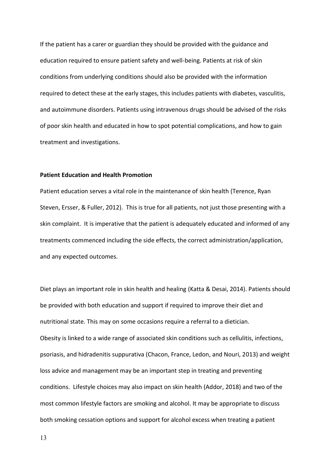If the patient has a carer or guardian they should be provided with the guidance and education required to ensure patient safety and well-being. Patients at risk of skin conditions from underlying conditions should also be provided with the information required to detect these at the early stages, this includes patients with diabetes, vasculitis, and autoimmune disorders. Patients using intravenous drugs should be advised of the risks of poor skin health and educated in how to spot potential complications, and how to gain treatment and investigations.

#### **Patient Education and Health Promotion**

Patient education serves a vital role in the maintenance of skin health (Terence, Ryan Steven, Ersser, & Fuller, 2012). This is true for all patients, not just those presenting with a skin complaint. It is imperative that the patient is adequately educated and informed of any treatments commenced including the side effects, the correct administration/application, and any expected outcomes.

Diet plays an important role in skin health and healing (Katta & Desai, 2014). Patients should be provided with both education and support if required to improve their diet and nutritional state. This may on some occasions require a referral to a dietician. Obesity is linked to a wide range of associated skin conditions such as cellulitis, infections, psoriasis, and hidradenitis suppurativa (Chacon, France, Ledon, and Nouri, 2013) and weight loss advice and management may be an important step in treating and preventing conditions. Lifestyle choices may also impact on skin health (Addor, 2018) and two of the most common lifestyle factors are smoking and alcohol. It may be appropriate to discuss both smoking cessation options and support for alcohol excess when treating a patient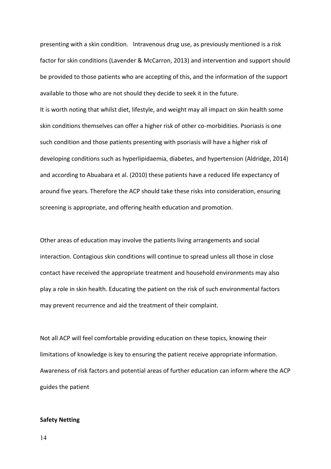presenting with a skin condition. Intravenous drug use, as previously mentioned is a risk factor for skin conditions (Lavender & McCarron, 2013) and intervention and support should be provided to those patients who are accepting of this, and the information of the support available to those who are not should they decide to seek it in the future.

It is worth noting that whilst diet, lifestyle, and weight may all impact on skin health some skin conditions themselves can offer a higher risk of other co-morbidities. Psoriasis is one such condition and those patients presenting with psoriasis will have a higher risk of developing conditions such as hyperlipidaemia, diabetes, and hypertension (Aldridge, 2014) and according to Abuabara et al. (2010) these patients have a reduced life expectancy of around five years. Therefore the ACP should take these risks into consideration, ensuring screening is appropriate, and offering health education and promotion.

Other areas of education may involve the patients living arrangements and social interaction. Contagious skin conditions will continue to spread unless all those in close contact have received the appropriate treatment and household environments may also play a role in skin health. Educating the patient on the risk of such environmental factors may prevent recurrence and aid the treatment of their complaint.

Not all ACP will feel comfortable providing education on these topics, knowing their limitations of knowledge is key to ensuring the patient receive appropriate information. Awareness of risk factors and potential areas of further education can inform where the ACP guides the patient

#### **Safety Netting**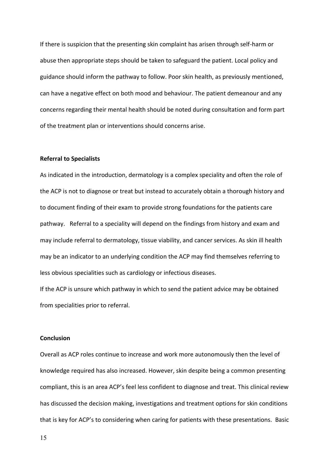If there is suspicion that the presenting skin complaint has arisen through self-harm or abuse then appropriate steps should be taken to safeguard the patient. Local policy and guidance should inform the pathway to follow. Poor skin health, as previously mentioned, can have a negative effect on both mood and behaviour. The patient demeanour and any concerns regarding their mental health should be noted during consultation and form part of the treatment plan or interventions should concerns arise.

## **Referral to Specialists**

As indicated in the introduction, dermatology is a complex speciality and often the role of the ACP is not to diagnose or treat but instead to accurately obtain a thorough history and to document finding of their exam to provide strong foundations for the patients care pathway. Referral to a speciality will depend on the findings from history and exam and may include referral to dermatology, tissue viability, and cancer services. As skin ill health may be an indicator to an underlying condition the ACP may find themselves referring to less obvious specialities such as cardiology or infectious diseases.

If the ACP is unsure which pathway in which to send the patient advice may be obtained from specialities prior to referral.

## **Conclusion**

Overall as ACP roles continue to increase and work more autonomously then the level of knowledge required has also increased. However, skin despite being a common presenting compliant, this is an area ACP's feel less confident to diagnose and treat. This clinical review has discussed the decision making, investigations and treatment options for skin conditions that is key for ACP's to considering when caring for patients with these presentations. Basic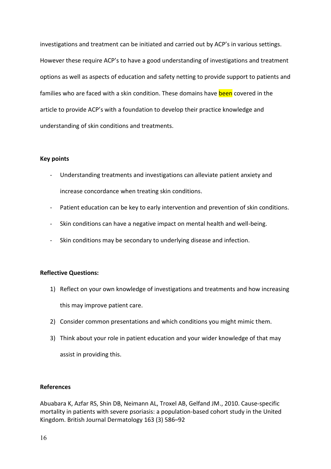investigations and treatment can be initiated and carried out by ACP's in various settings. However these require ACP's to have a good understanding of investigations and treatment options as well as aspects of education and safety netting to provide support to patients and families who are faced with a skin condition. These domains have been covered in the article to provide ACP's with a foundation to develop their practice knowledge and understanding of skin conditions and treatments.

## **Key points**

- Understanding treatments and investigations can alleviate patient anxiety and increase concordance when treating skin conditions.
- Patient education can be key to early intervention and prevention of skin conditions.
- Skin conditions can have a negative impact on mental health and well-being.
- Skin conditions may be secondary to underlying disease and infection.

# **Reflective Questions:**

- 1) Reflect on your own knowledge of investigations and treatments and how increasing this may improve patient care.
- 2) Consider common presentations and which conditions you might mimic them.
- 3) Think about your role in patient education and your wider knowledge of that may assist in providing this.

# **References**

Abuabara K, Azfar RS, Shin DB, Neimann AL, Troxel AB, Gelfand JM., 2010. Cause-specific mortality in patients with severe psoriasis: a population-based cohort study in the United Kingdom. British Journal Dermatology 163 (3) 586–92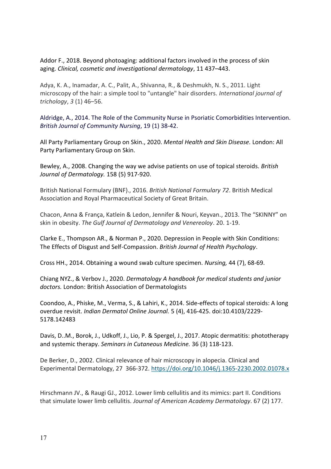Addor F., 2018. Beyond photoaging: additional factors involved in the process of skin aging. *Clinical, cosmetic and investigational dermatology*, 11 437–443.

Adya, K. A., Inamadar, A. C., Palit, A., Shivanna, R., & Deshmukh, N. S., 2011. Light microscopy of the hair: a simple tool to "untangle" hair disorders. *International journal of trichology*, *3* (1) 46–56.

Aldridge, A., 2014. The Role of the Community Nurse in Psoriatic Comorbidities Intervention. *British Journal of Community Nursing*, 19 (1) 38-42.

All Party Parliamentary Group on Skin., 2020. *Mental Health and Skin Disease.* London: All Party Parliamentary Group on Skin.

Bewley, A., 2008. Changing the way we advise patients on use of topical steroids. *British Journal of Dermatology.* 158 (5) 917-920.

British National Formulary (BNF)., 2016. *British National Formulary 72*. British Medical Association and Royal Pharmaceutical Society of Great Britain.

Chacon, Anna & França, Katlein & Ledon, Jennifer & Nouri, Keyvan., 2013. The "SKINNY" on skin in obesity. *The Gulf Journal of Dermatology and Venereoloy*. 20. 1-19.

Clarke E., Thompson AR., & Norman P., 2020. Depression in People with Skin Conditions: The Effects of Disgust and Self-Compassion. *British Journal of Health Psychology*.

Cross HH., 2014. Obtaining a wound swab culture specimen. *Nursing,* 44 (7), 68-69.

Chiang NYZ., & Verbov J., 2020. *Dermatology A handbook for medical students and junior doctors.* London: British Association of Dermatologists

Coondoo, A., Phiske, M., Verma, S., & Lahiri, K., 2014. Side-effects of topical steroids: A long overdue revisit. *Indian Dermatol Online Journal.* 5 (4), 416-425. doi:10.4103/2229- 5178.142483

Davis, D..M., Borok, J., Udkoff, J., Lio, P. & Spergel, J., 2017. Atopic dermatitis: phototherapy and systemic therapy. *Seminars in Cutaneous Medicine.* 36 (3) 118-123.

De Berker, D., 2002. Clinical relevance of hair microscopy in alopecia. Clinical and Experimental Dermatology, 27 366-372. <https://doi.org/10.1046/j.1365-2230.2002.01078.x>

Hirschmann JV., & Raugi GJ., 2012. Lower limb cellulitis and its mimics: part II. Conditions that simulate lower limb cellulitis. *Journal of American Academy Dermatology*. 67 (2) 177.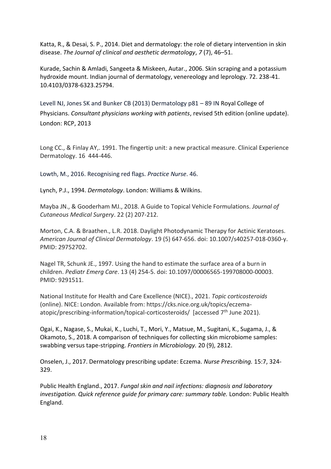Katta, R., & Desai, S. P., 2014. Diet and dermatology: the role of dietary intervention in skin disease. *The Journal of clinical and aesthetic dermatology*, *7* (7), 46–51.

Kurade, Sachin & Amladi, Sangeeta & Miskeen, Autar., 2006. Skin scraping and a potassium hydroxide mount. Indian journal of dermatology, venereology and leprology. 72. 238-41. 10.4103/0378-6323.25794.

Levell NJ, Jones SK and Bunker CB (2013) Dermatology p81 – 89 IN Royal College of Physicians. *Consultant physicians working with patients*, revised 5th edition (online update). London: RCP, 2013

Long CC., & Finlay AY,. 1991. The fingertip unit: a new practical measure. Clinical Experience Dermatology. 16 444-446.

Lowth, M., 2016. Recognising red flags. *Practice Nurse*. 46.

Lynch, P.J., 1994. *Dermatology*. London: Williams & Wilkins.

Mayba JN., & Gooderham MJ., 2018. A Guide to Topical Vehicle Formulations. *Journal of Cutaneous Medical Surgery*. 22 (2) 207-212.

Morton, C.A. & Braathen., L.R. 2018. Daylight Photodynamic Therapy for Actinic Keratoses. *American Journal of Clinical Dermatology*. 19 (5) 647-656. doi: 10.1007/s40257-018-0360-y. PMID: 29752702.

Nagel TR, Schunk JE., 1997. Using the hand to estimate the surface area of a burn in children. *Pediatr Emerg Care*. 13 (4) 254-5. doi: 10.1097/00006565-199708000-00003. PMID: 9291511.

National Institute for Health and Care Excellence (NICE)., 2021. *Topic corticosteroids* (online). NICE: London. Available from: https://cks.nice.org.uk/topics/eczemaatopic/prescribing-information/topical-corticosteroids/ [accessed 7<sup>th</sup> June 2021).

Ogai, K., Nagase, S., Mukai, K., Luchi, T., Mori, Y., Matsue, M., Sugitani, K., Sugama, J., & Okamoto, S., 2018. A comparison of techniques for collecting skin microbiome samples: swabbing versus tape-stripping. *Frontiers in Microbiology.* 20 (9), 2812.

Onselen, J., 2017. Dermatology prescribing update: Eczema. *Nurse Prescribing.* 15:7, 324- 329.

Public Health England., 2017. *Fungal skin and nail infections: diagnosis and laboratory investigation. Quick reference guide for primary care: summary table.* London: Public Health England.